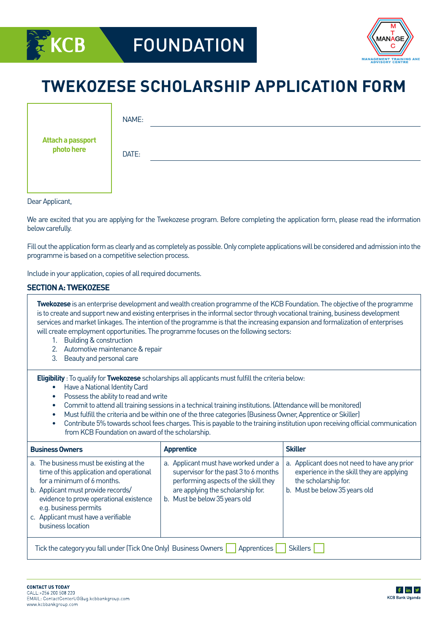



# **TWEKOZESE SCHOLARSHIP APPLICATION FORM**

|                                 | NAME: |
|---------------------------------|-------|
| Attach a passport<br>photo here | DATE: |
|                                 |       |

Dear Applicant,

We are excited that you are applying for the Twekozese program. Before completing the application form, please read the information below carefully.

Fill out the application form as clearly and as completely as possible. Only complete applications will be considered and admission into the programme is based on a competitive selection process.

Include in your application, copies of all required documents.

#### **SECTION A: TWEKOZESE**

**Twekozese** is an enterprise development and wealth creation programme of the KCB Foundation. The objective of the programme is to create and support new and existing enterprises in the informal sector through vocational training, business development services and market linkages. The intention of the programme is that the increasing expansion and formalization of enterprises will create employment opportunities. The programme focuses on the following sectors:

- 1. Building & construction
- 2. Automotive maintenance & repair
- 3. Beauty and personal care

**Eligibility** : To qualify for **Twekozese** scholarships all applicants must fulfill the criteria below:

- Have a National Identity Card
- Possess the ability to read and write
- Commit to attend all training sessions in a technical training institutions. (Attendance will be monitored)
- Must fulfill the criteria and be within one of the three categories (Business Owner, Apprentice or Skiller)
- Contribute 5% towards school fees charges. This is payable to the training institution upon receiving official communication from KCB Foundation on award of the scholarship.

| <b>Business Owners</b>                                                                                                                                                                                                                                                                  | <b>Apprentice</b>                                                                                                                                                                            | <b>Skiller</b>                                                                                                                                     |  |  |  |  |
|-----------------------------------------------------------------------------------------------------------------------------------------------------------------------------------------------------------------------------------------------------------------------------------------|----------------------------------------------------------------------------------------------------------------------------------------------------------------------------------------------|----------------------------------------------------------------------------------------------------------------------------------------------------|--|--|--|--|
| a. The business must be existing at the<br>time of this application and operational<br>for a minimum of 6 months.<br>b. Applicant must provide records/<br>evidence to prove operational existence<br>e.g. business permits<br>c. Applicant must have a verifiable<br>business location | a. Applicant must have worked under a<br>supervisor for the past 3 to 6 months<br>performing aspects of the skill they<br>are applying the scholarship for.<br>b. Must be below 35 years old | a. Applicant does not need to have any prior<br>experience in the skill they are applying<br>the scholarship for.<br>b. Must be below 35 years old |  |  |  |  |
| Tick the category you fall under (Tick One Only) Business Owners<br><b>Apprentices</b><br><b>Skillers</b>                                                                                                                                                                               |                                                                                                                                                                                              |                                                                                                                                                    |  |  |  |  |

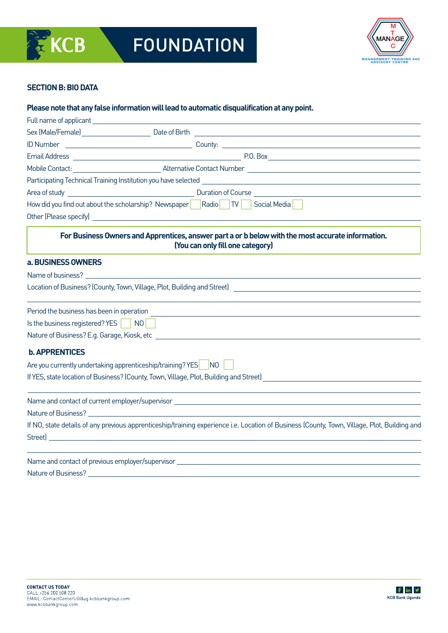

# **SECTION B: BIO DATA**

#### **Please note that any false information will lead to automatic disqualification at any point.**

|                                           | How did you find out about the scholarship? Newspaper Radio TV Social Media                                                                  |
|-------------------------------------------|----------------------------------------------------------------------------------------------------------------------------------------------|
|                                           |                                                                                                                                              |
|                                           | For Business Owners and Apprentices, answer part a or b below with the most accurate information.<br>(You can only fill one category)        |
| a. BUSINESS OWNERS                        |                                                                                                                                              |
|                                           |                                                                                                                                              |
|                                           | Location of Business? (County, Town, Village, Plot, Building and Street) Lawrence Andrew March 2014                                          |
| Period the business has been in operation | <u> 1980 - John Stein, Amerikaansk politiker (* 1901)</u>                                                                                    |
|                                           |                                                                                                                                              |
|                                           |                                                                                                                                              |
| <b>b. APPRENTICES</b>                     |                                                                                                                                              |
|                                           | Are you currently undertaking apprenticeship/training? YES NO                                                                                |
|                                           | If YES, state location of Business? (County, Town, Village, Plot, Building and Street)                                                       |
|                                           |                                                                                                                                              |
|                                           |                                                                                                                                              |
|                                           | If NO, state details of any previous apprenticeship/training experience i.e. Location of Business (County, Town, Village, Plot, Building and |
|                                           |                                                                                                                                              |
| Nature of Business?                       |                                                                                                                                              |

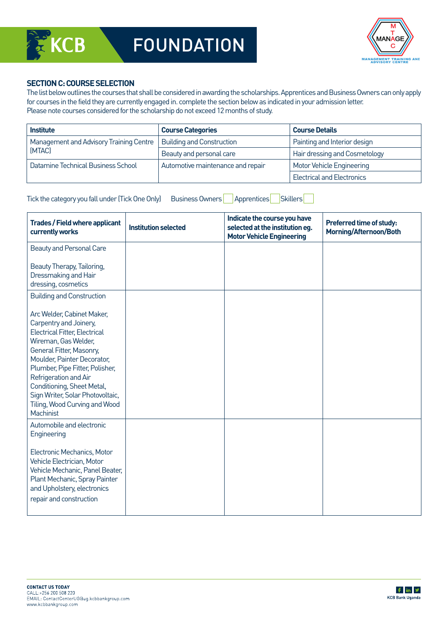

# **SECTION C: COURSE SELECTION**

The list below outlines the courses that shall be considered in awarding the scholarships. Apprentices and Business Owners can only apply for courses in the field they are currently engaged in. complete the section below as indicated in your admission letter. Please note courses considered for the scholarship do not exceed 12 months of study.

| <b>Institute</b>                        | <b>Course Categories</b>          | <b>Course Details</b>             |  |
|-----------------------------------------|-----------------------------------|-----------------------------------|--|
| Management and Advisory Training Centre | <b>Building and Construction</b>  | Painting and Interior design      |  |
| (MTAC)                                  | Beauty and personal care          | Hair dressing and Cosmetology     |  |
| Datamine Technical Business School      | Automotive maintenance and repair | Motor Vehicle Engineering         |  |
|                                         |                                   | <b>Electrical and Electronics</b> |  |

| Tick the category you fall under (Tick One Only) | Business Owners   Apprentices   Skillers |  |
|--------------------------------------------------|------------------------------------------|--|
|                                                  |                                          |  |

**Trades / Field where applicant currently works Institution selected Indicate the course you have selected at the institution eg. Motor Vehicle Engineering Preferred time of study: Morning/Afternoon/Both** Beauty and Personal Care Beauty Therapy, Tailoring, Dressmaking and Hair dressing, cosmetics Building and Construction Arc Welder, Cabinet Maker, Carpentry and Joinery, Electrical Fitter, Electrical Wireman, Gas Welder, General Fitter, Masonry, Moulder, Painter Decorator, Plumber, Pipe Fitter, Polisher, Refrigeration and Air Conditioning, Sheet Metal, Sign Writer, Solar Photovoltaic, Tiling, Wood Curving and Wood **Machinist** Automobile and electronic Engineering Electronic Mechanics, Motor Vehicle Electrician, Motor Vehicle Mechanic, Panel Beater, Plant Mechanic, Spray Painter and Upholstery, electronics repair and construction